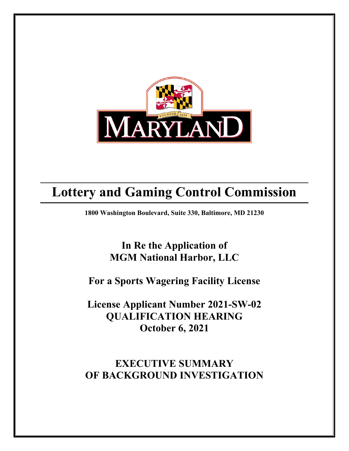

# **Lottery and Gaming Control Commission**

**1800 Washington Boulevard, Suite 330, Baltimore, MD 21230**

# **In Re the Application of MGM National Harbor, LLC**

### **For a Sports Wagering Facility License**

**License Applicant Number 2021-SW-02 QUALIFICATION HEARING October 6, 2021**

# **EXECUTIVE SUMMARY OF BACKGROUND INVESTIGATION**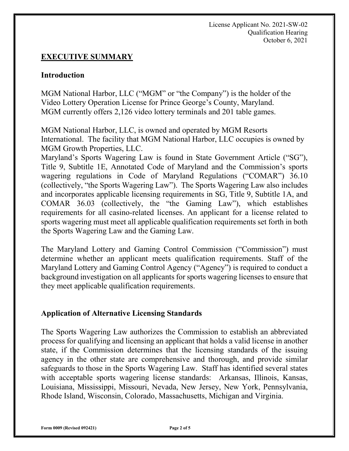### **EXECUTIVE SUMMARY**

#### **Introduction**

MGM National Harbor, LLC ("MGM" or "the Company") is the holder of the Video Lottery Operation License for Prince George's County, Maryland. MGM currently offers 2,126 video lottery terminals and 201 table games.

MGM National Harbor, LLC, is owned and operated by MGM Resorts International. The facility that MGM National Harbor, LLC occupies is owned by MGM Growth Properties, LLC.

Maryland's Sports Wagering Law is found in State Government Article ("SG"), Title 9, Subtitle 1E, Annotated Code of Maryland and the Commission's sports wagering regulations in Code of Maryland Regulations ("COMAR") 36.10 (collectively, "the Sports Wagering Law"). The Sports Wagering Law also includes and incorporates applicable licensing requirements in SG, Title 9, Subtitle 1A, and COMAR 36.03 (collectively, the "the Gaming Law"), which establishes requirements for all casino-related licenses. An applicant for a license related to sports wagering must meet all applicable qualification requirements set forth in both the Sports Wagering Law and the Gaming Law.

The Maryland Lottery and Gaming Control Commission ("Commission") must determine whether an applicant meets qualification requirements. Staff of the Maryland Lottery and Gaming Control Agency ("Agency") is required to conduct a background investigation on all applicants for sports wagering licenses to ensure that they meet applicable qualification requirements.

#### **Application of Alternative Licensing Standards**

The Sports Wagering Law authorizes the Commission to establish an abbreviated process for qualifying and licensing an applicant that holds a valid license in another state, if the Commission determines that the licensing standards of the issuing agency in the other state are comprehensive and thorough, and provide similar safeguards to those in the Sports Wagering Law. Staff has identified several states with acceptable sports wagering license standards: Arkansas, Illinois, Kansas, Louisiana, Mississippi, Missouri, Nevada, New Jersey, New York, Pennsylvania, Rhode Island, Wisconsin, Colorado, Massachusetts, Michigan and Virginia.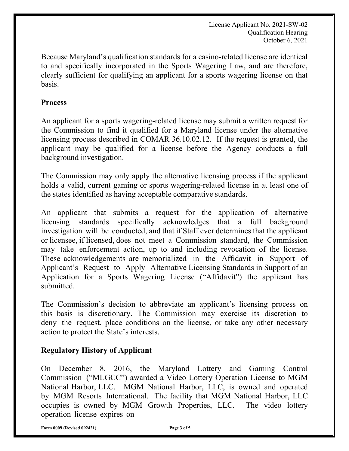License Applicant No. 2021-SW-02 Qualification Hearing October 6, 2021

Because Maryland's qualification standards for a casino-related license are identical to and specifically incorporated in the Sports Wagering Law, and are therefore, clearly sufficient for qualifying an applicant for a sports wagering license on that basis.

#### **Process**

An applicant for a sports wagering-related license may submit a written request for the Commission to find it qualified for a Maryland license under the alternative licensing process described in COMAR 36.10.02.12. If the request is granted, the applicant may be qualified for a license before the Agency conducts a full background investigation.

The Commission may only apply the alternative licensing process if the applicant holds a valid, current gaming or sports wagering-related license in at least one of the states identified as having acceptable comparative standards.

An applicant that submits a request for the application of alternative licensing standards specifically acknowledges that a full background investigation will be conducted, and that if Staff ever determines that the applicant or licensee, if licensed, does not meet a Commission standard, the Commission may take enforcement action, up to and including revocation of the license. These acknowledgements are memorialized in the Affidavit in Support of Applicant's Request to Apply Alternative Licensing Standards in Support of an Application for a Sports Wagering License ("Affidavit") the applicant has submitted.

The Commission's decision to abbreviate an applicant's licensing process on this basis is discretionary. The Commission may exercise its discretion to deny the request, place conditions on the license, or take any other necessary action to protect the State's interests.

#### **Regulatory History of Applicant**

On December 8, 2016, the Maryland Lottery and Gaming Control Commission ("MLGCC") awarded a Video Lottery Operation License to MGM National Harbor, LLC. MGM National Harbor, LLC, is owned and operated by MGM Resorts International. The facility that MGM National Harbor, LLC occupies is owned by MGM Growth Properties, LLC. The video lottery operation license expires on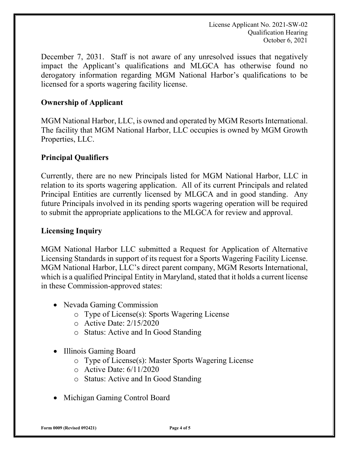License Applicant No. 2021-SW-02 Qualification Hearing October 6, 2021

December 7, 2031. Staff is not aware of any unresolved issues that negatively impact the Applicant's qualifications and MLGCA has otherwise found no derogatory information regarding MGM National Harbor's qualifications to be licensed for a sports wagering facility license.

### **Ownership of Applicant**

MGM National Harbor, LLC, is owned and operated by MGM Resorts International. The facility that MGM National Harbor, LLC occupies is owned by MGM Growth Properties, LLC.

### **Principal Qualifiers**

Currently, there are no new Principals listed for MGM National Harbor, LLC in relation to its sports wagering application. All of its current Principals and related Principal Entities are currently licensed by MLGCA and in good standing. Any future Principals involved in its pending sports wagering operation will be required to submit the appropriate applications to the MLGCA for review and approval.

#### **Licensing Inquiry**

MGM National Harbor LLC submitted a Request for Application of Alternative Licensing Standards in support of its request for a Sports Wagering Facility License. MGM National Harbor, LLC's direct parent company, MGM Resorts International, which is a qualified Principal Entity in Maryland, stated that it holds a current license in these Commission-approved states:

- Nevada Gaming Commission
	- o Type of License(s): Sports Wagering License
	- o Active Date: 2/15/2020
	- o Status: Active and In Good Standing
- Illinois Gaming Board
	- o Type of License(s): Master Sports Wagering License
	- o Active Date: 6/11/2020
	- o Status: Active and In Good Standing
- Michigan Gaming Control Board